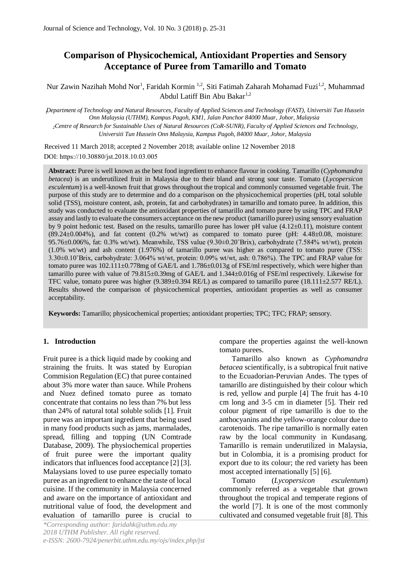# **Comparison of Physicochemical, Antioxidant Properties and Sensory Acceptance of Puree from Tamarillo and Tomato**

Nur Zawin Nazihah Mohd Nor<sup>1</sup>, Faridah Kormin <sup>1,2</sup>, Siti Fatimah Zaharah Mohamad Fuzi<sup>1,2</sup>, Muhammad [Abdul Latiff Bin Abu Bakar](https://community.uthm.edu.my/latiff)<sup>1,2</sup>

*<sup>1</sup>Department of Technology and Natural Resources, Faculty of Applied Sciences and Technology (FAST), Universiti Tun Hussein Onn Malaysia (UTHM), Kampus Pagoh, KM1, Jalan Panchor 84000 Muar, Johor, Malaysia* 

*<sup>2</sup>Centre of Research for Sustainable Uses of Natural Resources (CoR-SUNR), Faculty of Applied Sciences and Technology, Universiti Tun Hussein Onn Malaysia, Kampus Pagoh, 84000 Muar, Johor, Malaysia*  .

Received 11 March 2018; accepted 2 November 2018; available online 12 November 2018 DOI: https://10.30880/jst.2018.10.03.005

**Abstract:** Puree is well known as the best food ingredient to enhance flavour in cooking. Tamarillo (*Cyphomandra betacea*) is an underutilized fruit in Malaysia due to their bland and strong sour taste. Tomato (*Lycopersicon esculentum*) is a well-known fruit that grows throughout the tropical and commonly consumed vegetable fruit. The purpose of this study are to determine and do a comparison on the physicochemical properties (pH, total soluble solid (TSS), moisture content, ash, protein, fat and carbohydrates) in tamarillo and tomato puree. In addition, this study was conducted to evaluate the antioxidant properties of tamarillo and tomato puree by using TPC and FRAP assay and lastly to evaluate the consumers acceptance on the new product (tamarillo puree) using sensory evaluation by 9 point hedonic test. Based on the results, tamarillo puree has lower pH value (4.12±0.11), moisture content  $(89.24\pm0.004\%)$ , and fat content  $(0.2\% \text{ wt/wt})$  as compared to tomato puree (pH: 4.48 $\pm$ 0.08, moisture: 95.76±0.006%, fat: 0.3% wt/wt). Meanwhile, TSS value (9.30±0.20˚Brix), carbohydrate (7.584% wt/wt), protein (1.0% wt/wt) and ash content (1.976%) of tamarillo puree was higher as compared to tomato puree (TSS: 3.30±0.10˚Brix, carbohydrate: 3.064% wt/wt, protein: 0.09% wt/wt, ash: 0.786%). The TPC and FRAP value for tomato puree was  $102.111 \pm 0.778$ mg of GAE/L and  $1.786 \pm 0.013$ g of FSE/ml respectively, which were higher than tamarillo puree with value of 79.815±0.39mg of GAE/L and 1.344±0.016g of FSE/ml respectively. Likewise for TFC value, tomato puree was higher (9.389±0.394 RE/L) as compared to tamarillo puree (18.111±2.577 RE/L). Results showed the comparison of physicochemical properties, antioxidant properties as well as consumer acceptability.

**Keywords:** Tamarillo; physicochemical properties; antioxidant properties; TPC; TFC; FRAP; sensory.

# **1. Introduction**

Fruit puree is a thick liquid made by cooking and straining the fruits. It was stated by Europian Commision Regulation (EC) that puree contained about 3% more water than sauce. While Prohens and Nuez defined tomato puree as tomato concentrate that contains no less than 7% but less than 24% of natural total soluble solids [1]. Fruit puree was an important ingredient that being used in many food products such as jams, marmalades, spread, filling and topping (UN Comtrade Database, 2009). The physiochemical properties of fruit puree were the important quality indicators that influences food acceptance [2] [3]. Malaysians loved to use puree especially tomato puree as an ingredient to enhance the taste of local cuisine. If the community in Malaysia concerned and aware on the importance of antioxidant and nutritional value of food, the development and evaluation of tamarillo puree is crucial to compare the properties against the well-known tomato purees.

Tamarillo also known as *Cyphomandra betacea* scientifically, is a subtropical fruit native to the Ecuadorian-Peruvian Andes. The types of tamarillo are distinguished by their colour which is red, yellow and purple [4] The fruit has 4-10 cm long and 3-5 cm in diameter [5]. Their red colour pigment of ripe tamarillo is due to the anthocyanins and the yellow-orange colour due to carotenoids. The ripe tamarillo is normally eaten raw by the local community in Kundasang. Tamarillo is remain underutilized in Malaysia, but in Colombia, it is a promising product for export due to its colour; the red variety has been most accepted internationally [5] [6].

Tomato (*Lycopersicon esculentum*) commonly referred as a vegetable that grown throughout the tropical and temperate regions of the world [7]. It is one of the most commonly cultivated and consumed vegetable fruit [8]. This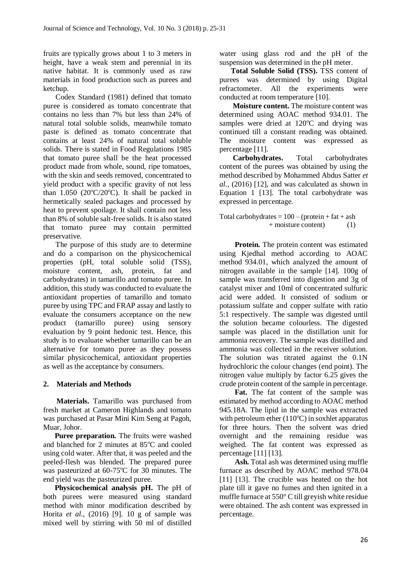fruits are typically grows about 1 to 3 meters in height, have a weak stem and perennial in its native habitat. It is commonly used as raw materials in food production such as purees and ketchup.

Codex Standard (1981) defined that tomato puree is considered as tomato concentrate that contains no less than 7% but less than 24% of natural total soluble solids, meanwhile tomato paste is defined as tomato concentrate that contains at least 24% of natural total soluble solids. There is stated in Food Regulations 1985 that tomato puree shall be the heat processed product made from whole, sound, ripe tomatoes, with the skin and seeds removed, concentrated to yield product with a specific gravity of not less than  $1.050$  (20 $^{\circ}$ C/20 $^{\circ}$ C). It shall be packed in hermetically sealed packages and processed by heat to prevent spoilage. It shall contain not less than 8% of soluble salt-free solids. It is also stated that tomato puree may contain permitted preservative.

The purpose of this study are to determine and do a comparison on the physicochemical properties (pH, total soluble solid (TSS), moisture content, ash, protein, fat and carbohydrates) in tamarillo and tomato puree. In addition, this study was conducted to evaluate the antioxidant properties of tamarillo and tomato puree by using TPC and FRAP assay and lastly to evaluate the consumers acceptance on the new product (tamarillo puree) using sensory evaluation by 9 point hedonic test. Hence, this study is to evaluate whether tamarillo can be an alternative for tomato puree as they possess similar physicochemical, antioxidant properties as well as the acceptance by consumers.

# **2. Materials and Methods**

 **Materials.** Tamarillo was purchased from fresh market at Cameron Highlands and tomato was purchased at Pasar Mini Kim Seng at Pagoh, Muar, Johor.

 **Puree preparation.** The fruits were washed and blanched for 2 minutes at  $85^{\circ}$ C and cooled using cold water. After that, it was peeled and the peeled-flesh was blended. The prepared puree was pasteurized at 60-75°C for 30 minutes. The end yield was the pasteurized puree.

 **Physicochemical analysis pH.** The pH of both purees were measured using standard method with minor modification described by Horita *et al.,* (2016) [9]. 10 g of sample was mixed well by stirring with 50 ml of distilled

water using glass rod and the pH of the suspension was determined in the pH meter.

 **Total Soluble Solid (TSS).** TSS content of purees was determined by using Digital refractometer. All the experiments were conducted at room temperature [10].

 **Moisture content.** The moisture content was determined using AOAC method 934.01. The samples were dried at  $120^{\circ}$ C and drying was continued till a constant reading was obtained. The moisture content was expressed as percentage [11].

 **Carbohydrates.** Total carbohydrates content of the purees was obtained by using the method described by Mohammed Abdus Satter *et al.,* (2016) [12], and was calculated as shown in Equation 1 [13]. The total carbohydrate was expressed in percentage.

Total carbohydrates  $= 100 - ($  protein  $+$  fat  $+$  ash + moisture content) (1)

**Protein.** The protein content was estimated using Kjedhal method according to AOAC method 934.01, which analyzed the amount of nitrogen available in the sample [14]. 100g of sample was transferred into digestion and 3g of catalyst mixer and 10ml of concentrated sulfuric acid were added. It consisted of sodium or potassium sulfate and copper sulfate with ratio 5:1 respectively. The sample was digested until the solution became colourless. The digested sample was placed in the distillation unit for ammonia recovery. The sample was distilled and ammonia was collected in the receiver solution. The solution was titrated against the 0.1N hydrochloric the colour changes (end point). The nitrogen value multiply by factor 6.25 gives the crude protein content of the sample in percentage.

 **Fat.** The fat content of the sample was estimated by method according to AOAC method 945.18A. The lipid in the sample was extracted with petroleum ether  $(110^{\circ}C)$  in soxhlet apparatus for three hours. Then the solvent was dried overnight and the remaining residue was weighed. The fat content was expressed as percentage [11] [13].

 **Ash.** Total ash was determined using muffle furnace as described by AOAC method 978.04 [11] [13]. The crucible was heated on the hot plate till it gave no fumes and then ignited in a muffle furnace at 550° C till greyish white residue were obtained. The ash content was expressed in percentage.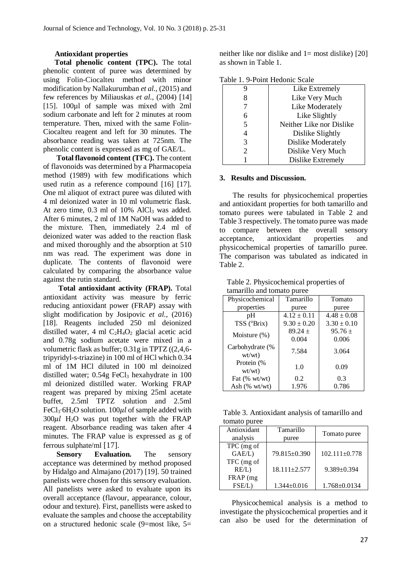### **Antioxidant properties**

 **Total phenolic content (TPC).** The total phenolic content of puree was determined by using Folin-Ciocalteu method with minor modification by Nallakurumban *et al.,* (2015) and few references by Miliauskas *et al.,* (2004) [14] [15]. 100µl of sample was mixed with 2ml sodium carbonate and left for 2 minutes at room temperature. Then, mixed with the same Folin-Ciocalteu reagent and left for 30 minutes. The absorbance reading was taken at 725nm. The phenolic content is expressed as mg of GAE/L.

 **Total flavonoid content (TFC).** The content of flavonoids was determined by a Pharmacopeia method (1989) with few modifications which used rutin as a reference compound [16] [17]. One ml aliquot of extract puree was diluted with 4 ml deionized water in 10 ml volumetric flask. At zero time,  $0.3$  ml of  $10\%$  AlCl<sub>3</sub> was added. After 6 minutes, 2 ml of 1M NaOH was added to the mixture. Then, immediately 2.4 ml of deionized water was added to the reaction flask and mixed thoroughly and the absorption at 510 nm was read. The experiment was done in duplicate. The contents of flavonoid were calculated by comparing the absorbance value against the rutin standard.

 **Total antioxidant activity (FRAP).** Total antioxidant activity was measure by ferric reducing antioxidant power (FRAP) assay with slight modification by Josipovic *et al.,* (2016) [18]. Reagents included 250 ml deionized distilled water, 4 ml  $C_2H_4O_2$  glacial acetic acid and 0.78g sodium acetate were mixed in a volumetric flask as buffer; 0.31g in TPTZ ((2,4,6 tripyridyl-s-triazine) in 100 ml of HCl which 0.34 ml of 1M HCl diluted in 100 ml deinoized distilled water;  $0.54g$  FeCl<sub>3</sub> hexahydrate in  $100$ ml deionized distilled water. Working FRAP reagent was prepared by mixing 25ml acetate buffet, 2.5ml TPTZ solution and 2.5ml FeCl<sub>3</sub>∙6H<sub>2</sub>O solution. 100*ul* of sample added with  $300 \mu l$  H<sub>2</sub>O was put together with the FRAP reagent. Absorbance reading was taken after 4 minutes. The FRAP value is expressed as g of ferrous sulphate/ml [17].

**Sensory Evaluation.** The sensory acceptance was determined by method proposed by Hidalgo and Almajano (2017) [19]. 50 trained panelists were chosen for this sensory evaluation. All panelists were asked to evaluate upon its overall acceptance (flavour, appearance, colour, odour and texture). First, panellists were asked to evaluate the samples and choose the acceptability on a structured hedonic scale  $(9=$ most like,  $5=$ 

neither like nor dislike and  $1=$  most dislike) [20] as shown in Table 1.

| Table 1. 9-Point Hedonic Scale |  |  |
|--------------------------------|--|--|
|--------------------------------|--|--|

|    | Like Extremely           |  |  |  |
|----|--------------------------|--|--|--|
|    | Like Very Much           |  |  |  |
|    | Like Moderately          |  |  |  |
| 6  | Like Slightly            |  |  |  |
|    | Neither Like nor Dislike |  |  |  |
|    | Dislike Slightly         |  |  |  |
|    | Dislike Moderately       |  |  |  |
| 2. | Dislike Very Much        |  |  |  |
|    | Dislike Extremely        |  |  |  |
|    |                          |  |  |  |

#### **3. Results and Discussion.**

The results for physicochemical properties and antioxidant properties for both tamarillo and tomato purees were tabulated in Table 2 and Table 3 respectively. The tomato puree was made to compare between the overall sensory acceptance, antioxidant properties and physicochemical properties of tamarillo puree. The comparison was tabulated as indicated in Table 2.

Table 2. Physicochemical properties of tamarillo and tomato puree

| allianno and tomato parce |                 |                 |  |  |
|---------------------------|-----------------|-----------------|--|--|
| Physicochemical           | Tamarillo       | Tomato          |  |  |
| properties                | puree           | puree           |  |  |
| pН                        | $4.12 \pm 0.11$ | $4.48 \pm 0.08$ |  |  |
| TSS (°Brix)               | $9.30 \pm 0.20$ | $3.30 \pm 0.10$ |  |  |
| Moisture $(\%)$           | $89.24 +$       | $95.76 \pm$     |  |  |
|                           | 0.004           | 0.006           |  |  |
| Carbohydrate (%<br>wt/wt) | 7.584           | 3.064           |  |  |
| Protein (%<br>wt/wt)      | 1.0             | 0.09            |  |  |
| Fat (% wt/wt)             | 0.2             | 0.3             |  |  |
| Ash $(\% wt/wt)$          | 1.976           | 0.786           |  |  |

Table 3. Antioxidant analysis of tamarillo and tomato puree

| Antioxidant | Tamarillo          | Tomato puree        |  |  |
|-------------|--------------------|---------------------|--|--|
| analysis    | puree              |                     |  |  |
| TPC (mg of  |                    |                     |  |  |
| GAE/L)      | 79.815±0.390       | $102.111 \pm 0.778$ |  |  |
| TFC (mg of  |                    |                     |  |  |
| RE/L)       | $18.111 \pm 2.577$ | 9.389±0.394         |  |  |
| FRAP (mg)   |                    |                     |  |  |
| FSE/L       | $1.344 \pm 0.016$  | $1.768 \pm 0.0134$  |  |  |

Physicochemical analysis is a method to investigate the physicochemical properties and it can also be used for the determination of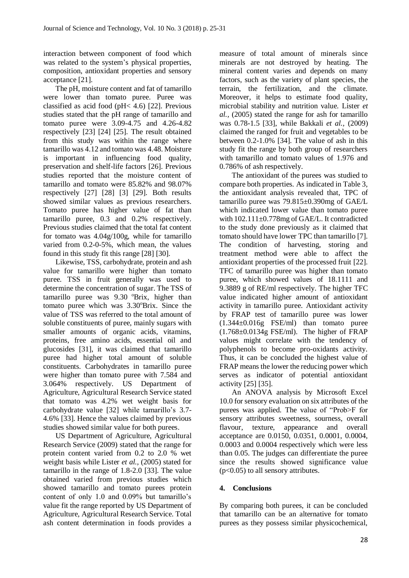interaction between component of food which was related to the system's physical properties, composition, antioxidant properties and sensory acceptance [21].

The pH, moisture content and fat of tamarillo were lower than tomato puree. Puree was classified as acid food (pH< 4.6) [22]. Previous studies stated that the pH range of tamarillo and tomato puree were 3.09-4.75 and 4.26-4.82 respectively [23] [24] [25]. The result obtained from this study was within the range where tamarillo was 4.12 and tomato was 4.48. Moisture is important in influencing food quality, preservation and shelf-life factors [26]. Previous studies reported that the moisture content of tamarillo and tomato were 85.82% and 98.07% respectively [27] [28] [3] [29]. Both results showed similar values as previous researchers. Tomato puree has higher value of fat than tamarillo puree, 0.3 and 0.2% respectively. Previous studies claimed that the total fat content for tomato was 4.04g/100g, while for tamarillo varied from 0.2-0-5%, which mean, the values found in this study fit this range [28] [30].

Likewise, TSS, carbohydrate, protein and ash value for tamarillo were higher than tomato puree. TSS in fruit generally was used to determine the concentration of sugar. The TSS of tamarillo puree was  $9.30$  <sup>o</sup>Brix, higher than tomato puree which was  $3.30^{\circ}$ Brix. Since the value of TSS was referred to the total amount of soluble constituents of puree, mainly sugars with smaller amounts of organic acids, vitamins, proteins, free amino acids, essential oil and glucosides [31], it was claimed that tamarillo puree had higher total amount of soluble constituents. Carbohydrates in tamarillo puree were higher than tomato puree with 7.584 and 3.064% respectively. US Department of Agriculture, Agricultural Research Service stated that tomato was 4.2% wet weight basis for carbohydrate value [32] while tamarillo's 3.7- 4.6% [33]. Hence the values claimed by previous studies showed similar value for both purees.

US Department of Agriculture, Agricultural Research Service (2009) stated that the range for protein content varied from 0.2 to 2.0 % wet weight basis while Lister *et al.,* (2005) stated for tamarillo in the range of 1.8-2.0 [33]. The value obtained varied from previous studies which showed tamarillo and tomato purees protein content of only 1.0 and 0.09% but tamarillo's value fit the range reported by US Department of Agriculture, Agricultural Research Service. Total ash content determination in foods provides a

measure of total amount of minerals since minerals are not destroyed by heating. The mineral content varies and depends on many factors, such as the variety of plant species, the terrain, the fertilization, and the climate. Moreover, it helps to estimate food quality, microbial stability and nutrition value. Lister *et al.,* (2005) stated the range for ash for tamarillo was 0.78-1.5 [33], while Bakkali *et al.,* (2009) claimed the ranged for fruit and vegetables to be between 0.2-1.0% [34]. The value of ash in this study fit the range by both group of researchers with tamarillo and tomato values of 1.976 and 0.786% of ash respectively.

The antioxidant of the purees was studied to compare both properties. As indicated in Table 3, the antioxidant analysis revealed that, TPC of tamarillo puree was 79.815±0.390mg of GAE/L which indicated lower value than tomato puree with 102.111±0.778mg of GAE/L. It contradicted to the study done previously as it claimed that tomato should have lower TPC than tamarillo [7]. The condition of harvesting, storing and treatment method were able to affect the antioxidant properties of the processed fruit [22]. TFC of tamarillo puree was higher than tomato puree, which showed values of 18.1111 and 9.3889 g of RE/ml respectively. The higher TFC value indicated higher amount of antioxidant activity in tamarillo puree. Antioxidant activity by FRAP test of tamarillo puree was lower (1.344±0.016g FSE/ml) than tomato puree  $(1.768 \pm 0.0134g$  FSE/ml). The higher of FRAP values might correlate with the tendency of polyphenols to become pro-oxidants activity. Thus, it can be concluded the highest value of FRAP means the lower the reducing power which serves as indicator of potential antioxidant activity [25] [35].

An ANOVA analysis by Microsoft Excel 10.0 for sensory evaluation on six attributes of the purees was applied. The value of "Prob>F for sensory attributes sweetness, sourness, overall flavour, texture, appearance and overall acceptance are 0.0150, 0.0351, 0.0001, 0.0004, 0.0003 and 0.0004 respectively which were less than 0.05. The judges can differentiate the puree since the results showed significance value (p<0.05) to all sensory attributes.

# **4. Conclusions**

By comparing both purees, it can be concluded that tamarillo can be an alternative for tomato purees as they possess similar physicochemical,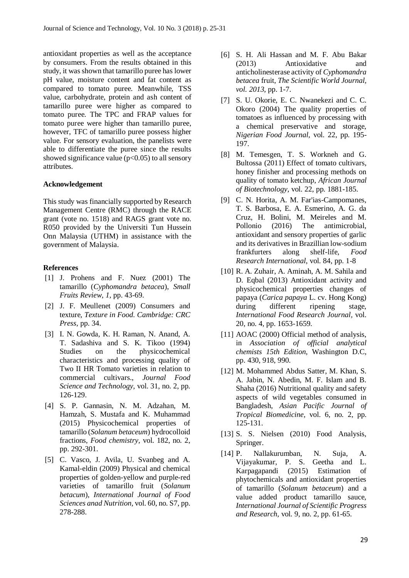antioxidant properties as well as the acceptance by consumers. From the results obtained in this study, it was shown that tamarillo puree has lower pH value, moisture content and fat content as compared to tomato puree. Meanwhile, TSS value, carbohydrate, protein and ash content of tamarillo puree were higher as compared to tomato puree. The TPC and FRAP values for tomato puree were higher than tamarillo puree, however, TFC of tamarillo puree possess higher value. For sensory evaluation, the panelists were able to differentiate the puree since the results showed significance value  $(p<0.05)$  to all sensory attributes.

### **Acknowledgement**

This study was financially supported by Research Management Centre (RMC) through the RACE grant (vote no. 1518) and RAGS grant vote no. R050 provided by the Universiti Tun Hussein Onn Malaysia (UTHM) in assistance with the government of Malaysia.

## **References**

- [1] J. Prohens and F. Nuez (2001) The tamarillo (*Cyphomandra betacea*), *Small Fruits Review, 1,* pp. 43-69.
- [2] J. F. Meullenet (2009) Consumers and texture, *Texture in Food. Cambridge: CRC Press,* pp. 34.
- [3] I. N. Gowda, K. H. Raman, N. Anand, A. T. Sadashiva and S. K. Tikoo (1994) Studies on the physicochemical characteristics and processing quality of Two II HR Tomato varieties in relation to commercial cultivars., *Journal Food Science and Technology,* vol. 31, no. 2, pp. 126-129.
- [4] S. P. Gannasin, N. M. Adzahan, M. Hamzah, S. Mustafa and K. Muhammad (2015) Physicochemical properties of tamarillo (*Solanum betaceum*) hydrocolloid fractions, *Food chemistry,* vol. 182, no. 2, pp. 292-301.
- [5] C. Vasco, J. Avila, U. Svanbeg and A. Kamal-eldin (2009) Physical and chemical properties of golden-yellow and purple-red varieties of tamarillo fruit (*Solanum betacum*), *International Journal of Food Sciences anad Nutrition,* vol. 60, no. S7, pp. 278-288.
- [6] S. H. Ali Hassan and M. F. Abu Bakar (2013) Antioxidative and anticholinesterase activity of *Cyphomandra betacea* fruit, *The Scientific World Journal, vol. 2013,* pp. 1-7.
- [7] S. U. Okorie, E. C. Nwanekezi and C. C. Okoro (2004) The quality properties of tomatoes as influenced by processing with a chemical preservative and storage, *Nigerian Food Journal,* vol. 22, pp. 195- 197.
- [8] M. Temesgen, T. S. Workneh and G. Bultossa (2011) Effect of tomato cultivars, honey finisher and processing methods on quality of tomato ketchup, *African Journal of Biotechnology,* vol. 22, pp. 1881-185.
- [9] C. N. Horita, A. M. Far'ias-Campomanes, T. S. Barbosa, E. A. Esmerino, A. G. da Cruz, H. Bolini, M. Meireles and M. Pollonio (2016) The antimicrobial, antioxidant and sensory properties of garlic and its derivatives in Brazillian low-sodium frankfurters along shelf-life, *Food Research International*, vol. 84, pp. 1-8
- [10] R. A. Zuhair, A. Aminah, A. M. Sahila and D. Eqbal (2013) Antioxidant activity and physicochemical properties changes of papaya (*Carica papaya* L. cv. Hong Kong) during different ripening stage, *International Food Research Journal,* vol. 20, no. 4, pp. 1653-1659.
- [11] AOAC (2000) Official method of analysis, in *Association of official analytical chemists 15th Edition*, Washington D.C, pp. 430, 918, 990.
- [12] M. Mohammed Abdus Satter, M. Khan, S. A. Jabin, N. Abedin, M. F. Islam and B. Shaha (2016) Nutritional quality and safety aspects of wild vegetables consumed in Bangladesh, *Asian Pacific Journal of Tropical Biomedicine,* vol. 6, no. 2, pp. 125-131.
- [13] S. S. Nielsen (2010) Food Analysis, Springer.
- [14] P. Nallakurumban, N. Suja, A. Vijayakumar, P. S. Geetha and L. Karpagapandi (2015) Estimation of phytochemicals and antioxidant properties of tamarillo (*Solanum betaceum*) and a value added product tamarillo sauce, *International Journal of Scientific Progress and Research,* vol. 9, no. 2, pp. 61-65.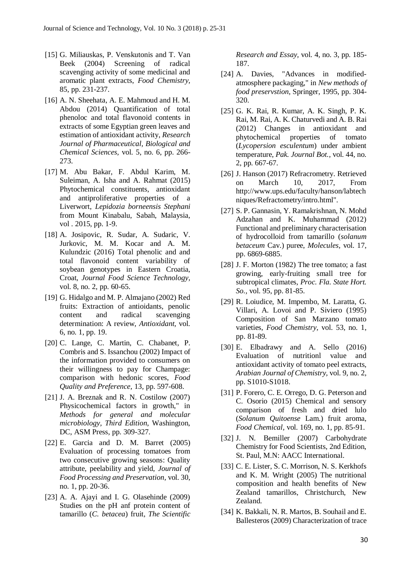- [15] G. Miliauskas, P. Venskutonis and T. Van Beek (2004) Screening of radical scavenging activity of some medicinal and aromatic plant extracts, *Food Chemistry,*  85, pp. 231-237.
- [16] A. N. Sheehata, A. E. Mahmoud and H. M. Abdou (2014) Quantification of total phenoloc and total flavonoid contents in extracts of some Egyptian green leaves and estimation of antioxidant activity, *Research Journal of Pharmaceutical, Biological and Chemical Sciences,* vol. 5, no. 6, pp. 266- 273.
- [17] M. Abu Bakar, F. Abdul Karim, M. Suleiman, A. Isha and A. Rahmat (2015) Phytochemical constituents, antioxidant and antiproliferative properties of a Liverwort, *Lepidozia borneensis Stephani* from Mount Kinabalu, Sabah, Malaysia, vol . 2015, pp. 1-9.
- [18] A. Josipovic, R. Sudar, A. Sudaric, V. Jurkovic, M. M. Kocar and A. M. Kulundzic (2016) Total phenolic and and total flavonoid content variability of soybean genotypes in Eastern Croatia, Croat, *Journal Food Science Technology,*  vol. 8, no. 2, pp. 60-65.
- [19] G. Hidalgo and M. P. Almajano (2002) Red fruits: Extraction of antioidants, penolic content and radical scavenging determination: A review, *Antioxidant,* vol. 6, no. 1, pp. 19.
- [20] C. Lange, C. Martin, C. Chabanet, P. Combris and S. Issanchou (2002) Impact of the information provided to consumers on their willingness to pay for Champage: comparison with hedonic scores, *Food Quality and Preference,* 13*,* pp. 597-608.
- [21] J. A. Breznak and R. N. Costilow (2007) Physicochemical factors in growth," in *Methods for general and molecular microbiology, Third Edition*, Washington, DC, ASM Press, pp. 309-327.
- [22] E. Garcia and D. M. Barret (2005) Evaluation of processing tomatoes from two consecutive growing seasons: Quality attribute, peelability and yield, *Journal of Food Processing and Preservation,* vol. 30, no. 1, pp. 20-36.
- [23] A. A. Ajayi and I. G. Olasehinde (2009) Studies on the pH anf protein content of tamarillo (*C. betacea*) fruit, *The Scientific*

*Research and Essay,* vol. 4, no. 3, pp. 185- 187.

- [24] A. Davies, "Advances in modifiedatmosphere packaging," in *New methods of food preservstion*, Springer, 1995, pp. 304- 320.
- [25] G. K. Rai, R. Kumar, A. K. Singh, P. K. Rai, M. Rai, A. K. Chaturvedi and A. B. Rai (2012) Changes in antioxidant and phytochemical properties of tomato (*Lycopersion esculentum*) under ambient temperature, *Pak. Journal Bot.,* vol. 44, no. 2, pp. 667-67.
- [26] J. Hanson (2017) Refracrometry. Retrieved on March 10, 2017, From http://www.ups.edu/faculty/hanson/labtech niques/Refractometry/intro.html".
- [27] S. P. Gannasin, Y. Ramakrishnan, N. Mohd Adzahan and K. Muhammad (2012) Functional and preliminary characterisation of hydrocolloid from tamarillo (*solanum betaceum* Cav.) puree, *Molecules,* vol. 17, pp. 6869-6885.
- [28] J. F. Morton (1982) The tree tomato; a fast growing, early-fruiting small tree for subtropical climates, *Proc. Fla. State Hort. So.,* vol. 95, pp. 81-85.
- [29] R. Loiudice, M. Impembo, M. Laratta, G. Villari, A. Lovoi and P. Siviero (1995) Composition of San Marzano tomato varieties, *Food Chemistry,* vol. 53, no. 1, pp. 81-89.
- [30] E. Elbadrawy and A. Sello (2016) Evaluation of nutritionl value and antioxidant activity of tomato peel extracts, *Arabian Journal of Chemistry,* vol. 9, no. 2, pp. S1010-S1018.
- [31] P. Forero, C. E. Orrego, D. G. Peterson and C. Osorio (2015) Chemical and sensory comparison of fresh and dried lulo (*Solanum Quitoense* Lam.) fruit aroma, *Food Chemical,* vol. 169, no. 1, pp. 85-91.
- [32] J. N. Bemiller (2007) Carbohydrate Chemistry for Food Scientists, 2nd Edition, St. Paul, M.N: AACC International.
- [33] C. E. Lister, S. C. Morrison, N. S. Kerkhofs and K. M. Wright (2005) The nutritional composition and health benefits of New Zealand tamarillos, Christchurch, New Zealand.
- [34] K. Bakkali, N. R. Martos, B. Souhail and E. Ballesteros (2009) Characterization of trace